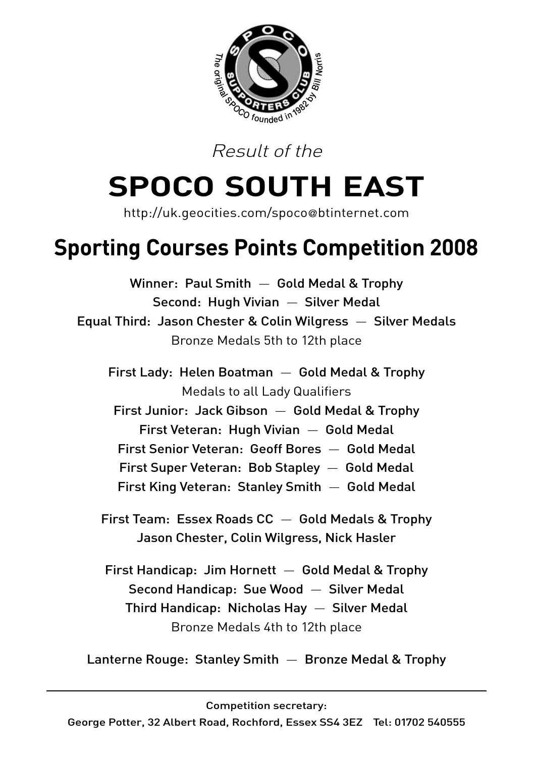

Result of the

# **SPOCO SOUTH EAST**

http://uk.geocities.com/spoco@btinternet.com

## **Sporting Courses Points Competition 2008**

Winner: Paul Smith — Gold Medal & Trophy Second: Hugh Vivian — Silver Medal Equal Third: Jason Chester & Colin Wilgress — Silver Medals Bronze Medals 5th to 12th place First Lady: Helen Boatman — Gold Medal & Trophy Medals to all Lady Qualifiers First Junior: Jack Gibson — Gold Medal & Trophy First Veteran: Hugh Vivian — Gold Medal First Senior Veteran: Geoff Bores — Gold Medal First Super Veteran: Bob Stapley — Gold Medal First King Veteran: Stanley Smith — Gold Medal First Team: Essex Roads CC — Gold Medals & Trophy Jason Chester, Colin Wilgress, Nick Hasler

First Handicap: Jim Hornett  $-$  Gold Medal & Trophy Second Handicap: Sue Wood — Silver Medal Third Handicap: Nicholas Hay — Silver Medal Bronze Medals 4th to 12th place

Lanterne Rouge: Stanley Smith — Bronze Medal & Trophy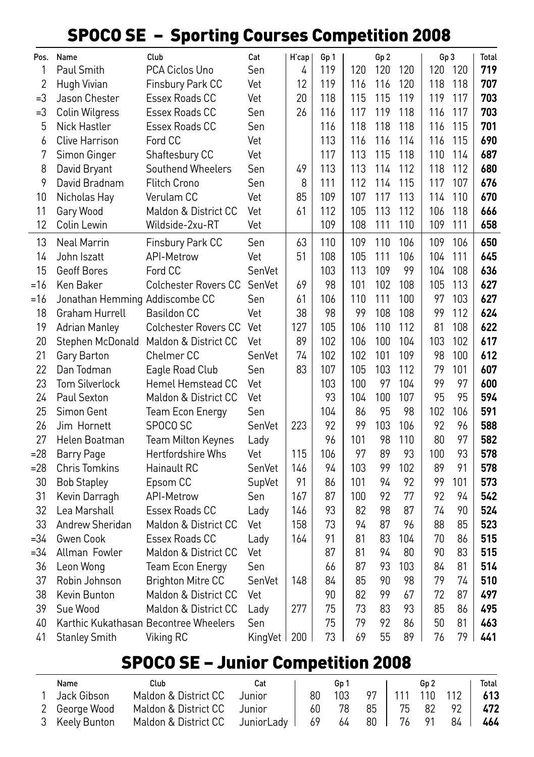#### SPOCO SE – Sporting Courses Competition 2008

| Pos.           | Name                           | Club                                  | Cat           | H'cap | Gp 1 |     | Gp 2 |     | Gp3 |     | <b>Total</b> |
|----------------|--------------------------------|---------------------------------------|---------------|-------|------|-----|------|-----|-----|-----|--------------|
| 1              | Paul Smith                     | PCA Ciclos Uno                        | Sen           | 4     | 119  | 120 | 120  | 120 | 120 | 120 | 719          |
| $\overline{2}$ | Hugh Vivian                    | Finsbury Park CC                      | Vet           | 12    | 119  | 116 | 116  | 120 | 118 | 118 | 707          |
| =3             | Jason Chester                  | Essex Roads CC                        | Vet           | 20    | 118  | 115 | 115  | 119 | 119 | 117 | 703          |
| $=3$           | Colin Wilgress                 | Essex Roads CC                        | Sen           | 26    | 116  | 117 | 119  | 118 | 116 | 117 | 703          |
| 5              | Nick Hastler                   | Essex Roads CC                        | Sen           |       | 116  | 118 | 118  | 118 | 116 | 115 | 701          |
| 6              | <b>Clive Harrison</b>          | Ford CC                               | Vet           |       | 113  | 116 | 116  | 114 | 116 | 115 | 690          |
| 7              | Simon Ginger                   | Shaftesbury CC                        | Vet           |       | 117  | 113 | 115  | 118 | 110 | 114 | 687          |
| 8              | David Bryant                   | Southend Wheelers                     | Sen           | 49    | 113  | 113 | 114  | 112 | 118 | 112 | 680          |
| 9              | David Bradnam                  | <b>Flitch Crono</b>                   | Sen           | 8     | 111  | 112 | 114  | 115 | 117 | 107 | 676          |
| 10             | Nicholas Hay                   | Verulam CC                            | Vet           | 85    | 109  | 107 | 117  | 113 | 114 | 110 | 670          |
| 11             | Gary Wood                      | Maldon & District CC                  | Vet           | 61    | 112  | 105 | 113  | 112 | 106 | 118 | 666          |
| 12             | Colin Lewin                    | Wildside-2xu-RT                       | Vet           |       | 109  | 108 | 111  | 110 | 109 | 111 | 658          |
| 13             | <b>Neal Marrin</b>             | Finsbury Park CC                      | Sen           | 63    | 110  | 109 | 110  | 106 | 109 | 106 | 650          |
| 14             | John Iszatt                    | <b>API-Metrow</b>                     | Vet           | 51    | 108  | 105 | 111  | 106 | 104 | 111 | 645          |
| 15             | Geoff Bores                    | Ford CC                               | SenVet        |       | 103  | 113 | 109  | 99  | 104 | 108 | 636          |
| =16            | Ken Baker                      | <b>Colchester Rovers CC</b>           | SenVet        | 69    | 98   | 101 | 102  | 108 | 105 | 113 | 627          |
| $=16$          | Jonathan Hemming Addiscombe CC |                                       | Sen           | 61    | 106  | 110 | 111  | 100 | 97  | 103 | 627          |
| 18             | Graham Hurrell                 | <b>Basildon CC</b>                    | Vet           | 38    | 98   | 99  | 108  | 108 | 99  | 112 | 624          |
| 19             | <b>Adrian Manley</b>           | <b>Colchester Rovers CC</b>           | Vet           | 127   | 105  | 106 | 110  | 112 | 81  | 108 | 622          |
| 20             |                                | Stephen McDonald Maldon & District CC | Vet           | 89    | 102  | 106 | 100  | 104 | 103 | 102 | 617          |
| 21             | Gary Barton                    | <b>Chelmer CC</b>                     | SenVet        | 74    | 102  | 102 | 101  | 109 | 98  | 100 | 612          |
| 22             | Dan Todman                     | Eagle Road Club                       | Sen           | 83    | 107  | 105 | 103  | 112 | 79  | 101 | 607          |
| 23             | <b>Tom Silverlock</b>          | Hemel Hemstead CC                     | Vet           |       | 103  | 100 | 97   | 104 | 99  | 97  | 600          |
| 24             | Paul Sexton                    | Maldon & District CC                  | Vet           |       | 93   | 104 | 100  | 107 | 95  | 95  | 594          |
| 25             | Simon Gent                     | <b>Team Econ Energy</b>               | Sen           |       | 104  | 86  | 95   | 98  | 102 | 106 | 591          |
| 26             | Jim Hornett                    | SPOCO SC                              | SenVet        | 223   | 92   | 99  | 103  | 106 | 92  | 96  | 588          |
| 27             | Helen Boatman                  | Team Milton Keynes                    | Lady          |       | 96   | 101 | 98   | 110 | 80  | 97  | 582          |
| $= 28$         | Barry Page                     | Hertfordshire Whs                     | Vet           | 115   | 106  | 97  | 89   | 93  | 100 | 93  | 578          |
| $= 28$         | <b>Chris Tomkins</b>           | Hainault RC                           | SenVet        | 146   | 94   | 103 | 99   | 102 | 89  | 91  | 578          |
| 30             | <b>Bob Stapley</b>             | Epsom CC                              | SupVet        | 91    | 86   | 101 | 94   | 92  | 99  | 101 | 573          |
| 31             | Kevin Darragh                  | <b>API-Metrow</b>                     | Sen           | 167   | 87   | 100 | 92   | 77  | 92  | 94  | 542          |
| 32             | Lea Marshall                   | Essex Roads CC                        | Lady          | 146   | 93   | 82  | 98   | 87  | 74  | 90  | 524          |
| 33             | Andrew Sheridan                | Maldon & District CC                  | Vet           | 158   | 73   | 94  | 87   | 96  | 88  | 85  | 523          |
| =34            | Gwen Cook                      | Essex Roads CC                        | Lady          | 164   | 91   | 81  | 83   | 104 | 70  | 86  | 515          |
| $=34$          | Allman Fowler                  | Maldon & District CC                  | Vet           |       | 87   | 81  | 94   | 80  | 90  | 83  | 515          |
| 36             | Leon Wong                      | <b>Team Econ Energy</b>               | Sen           |       | 66   | 87  | 93   | 103 | 84  | 81  | 514          |
| 37             | Robin Johnson                  | <b>Brighton Mitre CC</b>              | SenVet        | 148   | 84   | 85  | 90   | 98  | 79  | 74  | 510          |
| 38             | Kevin Bunton                   | Maldon & District CC                  | Vet           |       | 90   | 82  | 99   | 67  | 72  | 87  | 497          |
| 39             | Sue Wood                       | Maldon & District CC                  | Lady          | 277   | 75   | 73  | 83   | 93  | 85  | 86  | 495          |
| 40             |                                | Karthic Kukathasan Becontree Wheelers | Sen           |       | 75   | 79  | 92   | 86  | 50  | 81  | 463          |
| 41             | <b>Stanley Smith</b>           | Viking RC                             | KingVet   200 |       | 73   | 69  | 55   | 89  | 76  | 79  | 441          |

#### SPOCO SE – Junior Competition 2008

| Name           | Club                                               | Cat    |    | Gp 1 |                     | Gn 2 |                  | Total |
|----------------|----------------------------------------------------|--------|----|------|---------------------|------|------------------|-------|
| Jack Gibson    | Maldon & District CC                               | Junior | 80 | 103  |                     |      | 97   111 110 112 | - 613 |
| 2 George Wood  | Maldon & District CC Junior                        |        |    |      | 60 78 85   75 82 92 |      |                  | 472   |
| 3 Keelv Bunton | Maldon & District CC JuniorLady   69 64 80   76 91 |        |    |      |                     |      | 84 I             | 464   |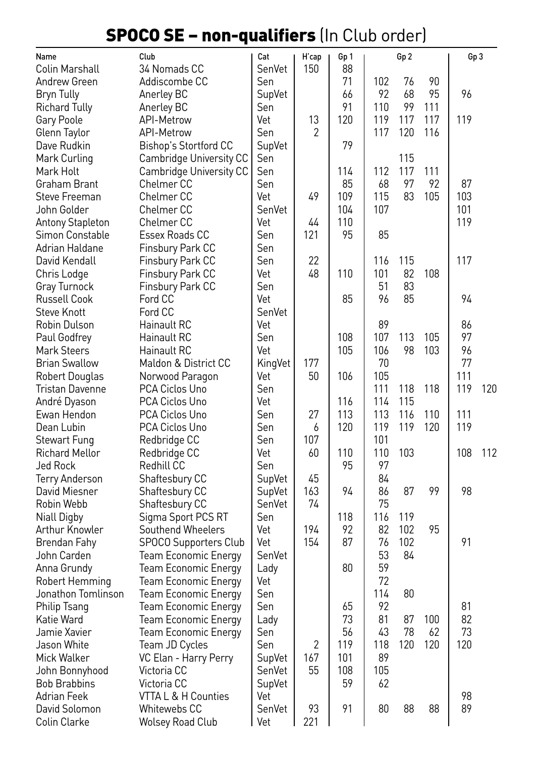### SPOCO SE – non-qualifiers (In Club order)

| Name                                  | Club                         | Cat              | H'cap | Gp 1      |           | Gp 2 |     | Gp3 |     |
|---------------------------------------|------------------------------|------------------|-------|-----------|-----------|------|-----|-----|-----|
| Colin Marshall                        | 34 Nomads CC                 | SenVet           | 150   | 88        |           |      |     |     |     |
| Andrew Green                          | Addiscombe CC                | Sen              |       | 71        | 102       | 76   | 90  |     |     |
| Bryn Tully                            | Anerley BC                   | SupVet           |       | 66        | 92        | 68   | 95  | 96  |     |
| <b>Richard Tully</b>                  | Anerley BC                   | Sen              |       | 91        | 110       | 99   | 111 |     |     |
| Gary Poole                            | API-Metrow                   | Vet              | 13    | 120       | 119       | 117  | 117 | 119 |     |
| Glenn Taylor                          | <b>API-Metrow</b>            | Sen              | 2     |           | 117       | 120  | 116 |     |     |
| Dave Rudkin                           | <b>Bishop's Stortford CC</b> | SupVet           |       | 79        |           |      |     |     |     |
| Mark Curling                          | Cambridge University CC      | Sen              |       |           |           | 115  |     |     |     |
| Mark Holt                             | Cambridge University CC      | Sen              |       | 114       | 112       | 117  | 111 |     |     |
| Graham Brant                          | Chelmer CC                   | Sen              |       | 85        | 68        | 97   | 92  | 87  |     |
| Steve Freeman                         | Chelmer <sub>CC</sub>        | Vet              | 49    | 109       | 115       | 83   | 105 | 103 |     |
| John Golder                           | Chelmer CC                   | SenVet           |       | 104       | 107       |      |     | 101 |     |
| Antony Stapleton                      | Chelmer <sub>CC</sub>        | Vet              | 44    | 110       |           |      |     | 119 |     |
| Simon Constable                       | Essex Roads CC               | Sen              | 121   | 95        | 85        |      |     |     |     |
| Adrian Haldane                        | Finsbury Park CC             | Sen              |       |           |           |      |     |     |     |
| David Kendall                         | Finsbury Park CC             | Sen              | 22    |           | 116       | 115  |     | 117 |     |
| Chris Lodge                           | Finsbury Park CC             | Vet              | 48    | 110       | 101       | 82   | 108 |     |     |
| Gray Turnock                          | Finsbury Park CC             | Sen              |       |           | 51        | 83   |     |     |     |
| <b>Russell Cook</b>                   | Ford CC<br>Ford CC           | Vet<br>SenVet    |       | 85        | 96        | 85   |     | 94  |     |
| <b>Steve Knott</b>                    | Hainault RC                  | Vet              |       |           | 89        |      |     | 86  |     |
| Robin Dulson<br>Paul Godfrey          | Hainault RC                  | Sen              |       | 108       | 107       | 113  | 105 | 97  |     |
| <b>Mark Steers</b>                    | Hainault RC                  | Vet              |       | 105       | 106       | 98   | 103 | 96  |     |
| <b>Brian Swallow</b>                  | Maldon & District CC         | KingVet          | 177   |           | 70        |      |     | 77  |     |
| <b>Robert Douglas</b>                 | Norwood Paragon              | Vet              | 50    | 106       | 105       |      |     | 111 |     |
| Tristan Davenne                       | PCA Ciclos Uno               | Sen              |       |           | 111       | 118  | 118 | 119 | 120 |
| André Dyason                          | PCA Ciclos Uno               | Vet              |       | 116       | 114       | 115  |     |     |     |
| Ewan Hendon                           | PCA Ciclos Uno               | Sen              | 27    | 113       | 113       | 116  | 110 | 111 |     |
| Dean Lubin                            | PCA Ciclos Uno               | Sen              | 6     | 120       | 119       | 119  | 120 | 119 |     |
| <b>Stewart Fung</b>                   | Redbridge CC                 | Sen              | 107   |           | 101       |      |     |     |     |
| <b>Richard Mellor</b>                 | Redbridge CC                 | Vet              | 60    | 110       | 110       | 103  |     | 108 | 112 |
| Jed Rock                              | Redhill CC                   | Sen              |       | 95        | 97        |      |     |     |     |
| <b>Terry Anderson</b>                 | Shaftesbury CC               | SupVet           | 45    |           | 84        |      |     |     |     |
| David Miesner                         | Shaftesbury CC               | SupVet           | 163   | 94        | 86        | 87   | 99  | 98  |     |
| Robin Webb                            | Shaftesbury CC               | SenVet           | 74    |           | 75        |      |     |     |     |
| <b>Niall Digby</b>                    | Sigma Sport PCS RT           | Sen              |       | 118       | 116       | 119  |     |     |     |
| Arthur Knowler                        | Southend Wheelers            | Vet              | 194   | 92        | 82        | 102  | 95  |     |     |
| Brendan Fahy                          | SPOCO Supporters Club        | Vet              | 154   | 87        | 76        | 102  |     | 91  |     |
| John Carden                           | <b>Team Economic Energy</b>  | SenVet           |       |           | 53        | 84   |     |     |     |
| Anna Grundy                           | <b>Team Economic Energy</b>  | Lady             |       | 80        | 59        |      |     |     |     |
| Robert Hemming                        | <b>Team Economic Energy</b>  | Vet              |       |           | 72        |      |     |     |     |
| Jonathon Tomlinson                    | <b>Team Economic Energy</b>  | Sen              |       |           | 114       | 80   |     |     |     |
| Philip Tsang                          | <b>Team Economic Energy</b>  | Sen              |       | 65        | 92        |      |     | 81  |     |
| Katie Ward                            | Team Economic Energy         | Lady             |       | 73        | 81        | 87   | 100 | 82  |     |
| Jamie Xavier                          | <b>Team Economic Energy</b>  | Sen              |       | 56        | 43        | 78   | 62  | 73  |     |
| Jason White                           | Team JD Cycles               | Sen              | 2     | 119       | 118       | 120  | 120 | 120 |     |
| Mick Walker                           | VC Elan - Harry Perry        | SupVet           | 167   | 101       | 89        |      |     |     |     |
| John Bonnyhood<br><b>Bob Brabbins</b> | Victoria CC<br>Victoria CC   | SenVet<br>SupVet | 55    | 108<br>59 | 105<br>62 |      |     |     |     |
| Adrian Feek                           | VTTA L & H Counties          | Vet              |       |           |           |      |     | 98  |     |
| David Solomon                         | Whitewebs CC                 | SenVet           | 93    | 91        | 80        | 88   | 88  | 89  |     |
| Colin Clarke                          | <b>Wolsey Road Club</b>      | Vet              | 221   |           |           |      |     |     |     |
|                                       |                              |                  |       |           |           |      |     |     |     |